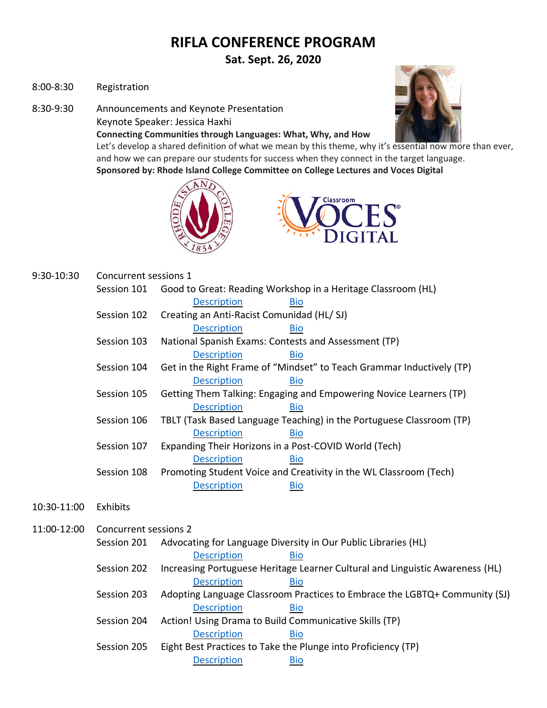# **RIFLA CONFERENCE PROGRAM**

**Sat. Sept. 26, 2020**

- 8:00-8:30 Registration
- 8:30-9:30 Announcements and Keynote Presentation

Keynote Speaker: Jessica Haxhi

**Connecting Communities through Languages: What, Why, and How**



Let's develop a shared definition of what we mean by this theme, why it's essential now more than ever, and how we can prepare our students for success when they connect in the target language. **Sponsored by: Rhode Island College Committee on College Lectures and Voces Digital**





| 9:30-10:30  | Concurrent sessions 1                                    |                                                                               |  |  |
|-------------|----------------------------------------------------------|-------------------------------------------------------------------------------|--|--|
|             | Session 101                                              | Good to Great: Reading Workshop in a Heritage Classroom (HL)                  |  |  |
|             |                                                          | <b>Description</b><br><b>Bio</b>                                              |  |  |
|             | Session 102<br>Creating an Anti-Racist Comunidad (HL/SJ) |                                                                               |  |  |
|             |                                                          | <b>Description</b><br><b>Bio</b>                                              |  |  |
|             | Session 103                                              | National Spanish Exams: Contests and Assessment (TP)                          |  |  |
|             |                                                          | <b>Description</b><br><b>Bio</b>                                              |  |  |
|             | Session 104                                              | Get in the Right Frame of "Mindset" to Teach Grammar Inductively (TP)         |  |  |
|             |                                                          | <b>Description</b><br><b>Bio</b>                                              |  |  |
|             | Session 105                                              | Getting Them Talking: Engaging and Empowering Novice Learners (TP)            |  |  |
|             |                                                          | <b>Description</b><br><b>Bio</b>                                              |  |  |
|             | Session 106                                              | TBLT (Task Based Language Teaching) in the Portuguese Classroom (TP)          |  |  |
|             |                                                          | <b>Description</b><br><b>Bio</b>                                              |  |  |
|             | Session 107                                              | Expanding Their Horizons in a Post-COVID World (Tech)                         |  |  |
|             |                                                          | <b>Description</b><br><b>Bio</b>                                              |  |  |
|             | Session 108                                              | Promoting Student Voice and Creativity in the WL Classroom (Tech)             |  |  |
|             |                                                          | <b>Description</b><br><b>Bio</b>                                              |  |  |
| 10:30-11:00 | Exhibits                                                 |                                                                               |  |  |
| 11:00-12:00 | <b>Concurrent sessions 2</b>                             |                                                                               |  |  |
|             |                                                          |                                                                               |  |  |
|             | Session 201                                              | Advocating for Language Diversity in Our Public Libraries (HL)                |  |  |
|             |                                                          | <b>Description</b><br><b>Bio</b>                                              |  |  |
|             | Session 202                                              | Increasing Portuguese Heritage Learner Cultural and Linguistic Awareness (HL) |  |  |
|             |                                                          | <b>Description</b><br><b>Bio</b>                                              |  |  |
|             | Session 203                                              | Adopting Language Classroom Practices to Embrace the LGBTQ+ Community (SJ)    |  |  |
|             |                                                          | <b>Description</b><br><b>Bio</b>                                              |  |  |
|             | Session 204                                              | Action! Using Drama to Build Communicative Skills (TP)                        |  |  |
|             |                                                          | <b>Description</b><br><b>Bio</b>                                              |  |  |
|             | Session 205                                              | Eight Best Practices to Take the Plunge into Proficiency (TP)                 |  |  |
|             |                                                          | Description<br><b>Bio</b>                                                     |  |  |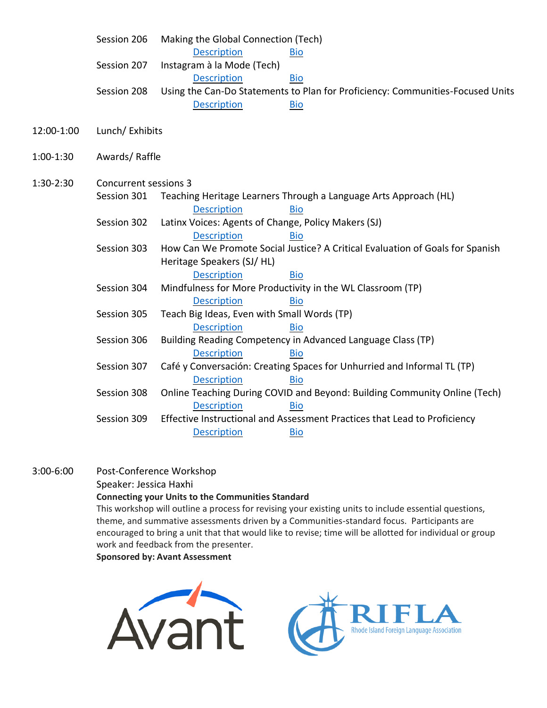|            | Session 206                  | Making the Global Connection (Tech)                 |                                                                                |  |  |
|------------|------------------------------|-----------------------------------------------------|--------------------------------------------------------------------------------|--|--|
|            |                              | <b>Description</b>                                  | Bio                                                                            |  |  |
|            | Session 207                  | Instagram à la Mode (Tech)                          |                                                                                |  |  |
|            |                              | <b>Description</b>                                  | <b>Bio</b>                                                                     |  |  |
|            | Session 208                  |                                                     | Using the Can-Do Statements to Plan for Proficiency: Communities-Focused Units |  |  |
|            |                              | <b>Description</b>                                  | <b>Bio</b>                                                                     |  |  |
| 12:00-1:00 | Lunch/ Exhibits              |                                                     |                                                                                |  |  |
|            |                              |                                                     |                                                                                |  |  |
| 1:00-1:30  | Awards/Raffle                |                                                     |                                                                                |  |  |
|            |                              |                                                     |                                                                                |  |  |
| 1:30-2:30  | <b>Concurrent sessions 3</b> |                                                     |                                                                                |  |  |
|            | Session 301                  |                                                     | Teaching Heritage Learners Through a Language Arts Approach (HL)               |  |  |
|            |                              | <b>Description</b>                                  | <b>Bio</b>                                                                     |  |  |
|            | Session 302                  | Latinx Voices: Agents of Change, Policy Makers (SJ) |                                                                                |  |  |
|            |                              | <b>Description</b>                                  | <b>Bio</b>                                                                     |  |  |
|            | Session 303                  |                                                     | How Can We Promote Social Justice? A Critical Evaluation of Goals for Spanish  |  |  |
|            |                              | Heritage Speakers (SJ/HL)                           |                                                                                |  |  |
|            |                              | <b>Description</b>                                  | <b>Bio</b>                                                                     |  |  |
|            | Session 304                  |                                                     | Mindfulness for More Productivity in the WL Classroom (TP)                     |  |  |
|            |                              | <b>Description</b>                                  | <b>Bio</b>                                                                     |  |  |
|            | Session 305                  | Teach Big Ideas, Even with Small Words (TP)         |                                                                                |  |  |
|            |                              | <b>Description</b>                                  | <b>Bio</b>                                                                     |  |  |
|            | Session 306                  |                                                     | Building Reading Competency in Advanced Language Class (TP)                    |  |  |
|            |                              | <b>Description</b>                                  | <b>Bio</b>                                                                     |  |  |
|            | Session 307                  |                                                     | Café y Conversación: Creating Spaces for Unhurried and Informal TL (TP)        |  |  |
|            |                              | <b>Description</b>                                  | <b>Bio</b>                                                                     |  |  |
|            | Session 308                  |                                                     | Online Teaching During COVID and Beyond: Building Community Online (Tech)      |  |  |
|            |                              | <b>Description</b>                                  | <b>Bio</b>                                                                     |  |  |
|            | Session 309                  |                                                     | Effective Instructional and Assessment Practices that Lead to Proficiency      |  |  |
|            |                              | <b>Description</b>                                  | <b>Bio</b>                                                                     |  |  |

3:00-6:00 Post-Conference Workshop

Speaker: Jessica Haxhi

#### **Connecting your Units to the Communities Standard**

This workshop will outline a process for revising your existing units to include essential questions, theme, and summative assessments driven by a Communities-standard focus. Participants are encouraged to bring a unit that that would like to revise; time will be allotted for individual or group work and feedback from the presenter.

**Sponsored by: Avant Assessment**



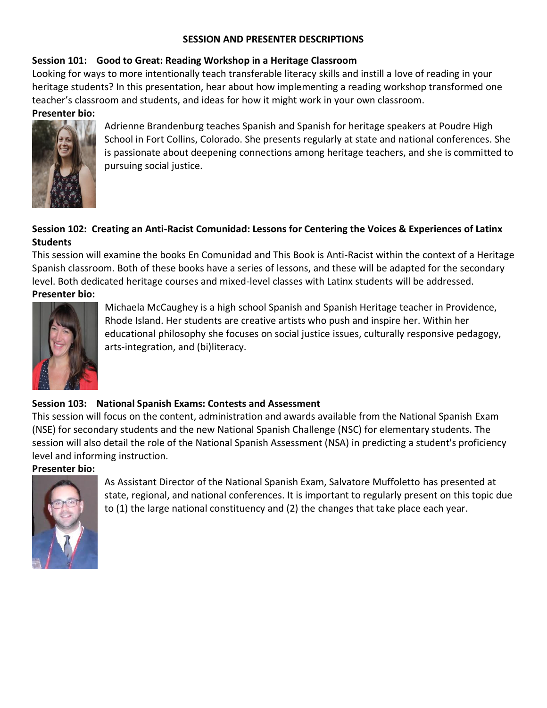## **SESSION AND PRESENTER DESCRIPTIONS**

#### <span id="page-2-0"></span>**Session 101: Good to Great: Reading Workshop in a Heritage Classroom**

Looking for ways to more intentionally teach transferable literacy skills and instill a love of reading in your heritage students? In this presentation, hear about how implementing a reading workshop transformed one teacher's classroom and students, and ideas for how it might work in your own classroom.

#### <span id="page-2-1"></span>**Presenter bio:**



Adrienne Brandenburg teaches Spanish and Spanish for heritage speakers at Poudre High School in Fort Collins, Colorado. She presents regularly at state and national conferences. She is passionate about deepening connections among heritage teachers, and she is committed to pursuing social justice.

# <span id="page-2-2"></span>**Session 102: Creating an Anti-Racist Comunidad: Lessons for Centering the Voices & Experiences of Latinx Students**

This session will examine the books En Comunidad and This Book is Anti-Racist within the context of a Heritage Spanish classroom. Both of these books have a series of lessons, and these will be adapted for the secondary level. Both dedicated heritage courses and mixed-level classes with Latinx students will be addressed.

# <span id="page-2-3"></span>**Presenter bio:**



Michaela McCaughey is a high school Spanish and Spanish Heritage teacher in Providence, Rhode Island. Her students are creative artists who push and inspire her. Within her educational philosophy she focuses on social justice issues, culturally responsive pedagogy, arts-integration, and (bi)literacy.

# <span id="page-2-4"></span>**Session 103: National Spanish Exams: Contests and Assessment**

This session will focus on the content, administration and awards available from the National Spanish Exam (NSE) for secondary students and the new National Spanish Challenge (NSC) for elementary students. The session will also detail the role of the National Spanish Assessment (NSA) in predicting a student's proficiency level and informing instruction.

#### <span id="page-2-5"></span>**Presenter bio:**

<span id="page-2-6"></span>

As Assistant Director of the National Spanish Exam, Salvatore Muffoletto has presented at state, regional, and national conferences. It is important to regularly present on this topic due to (1) the large national constituency and (2) the changes that take place each year.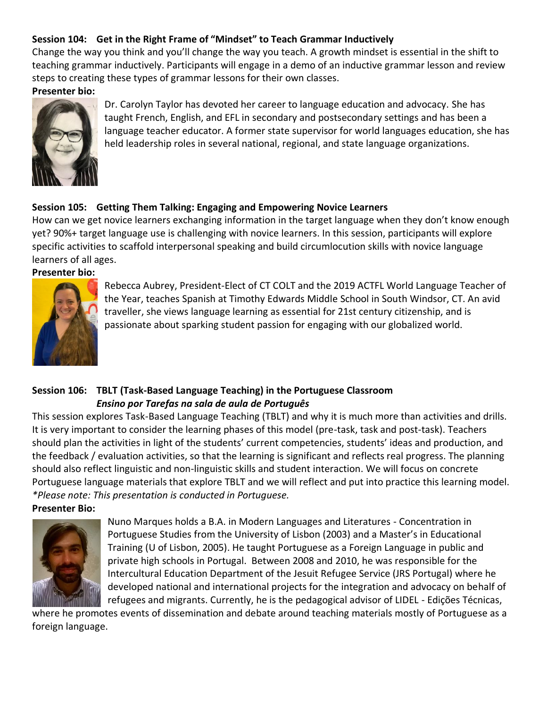# **Session 104: Get in the Right Frame of "Mindset" to Teach Grammar Inductively**

Change the way you think and you'll change the way you teach. A growth mindset is essential in the shift to teaching grammar inductively. Participants will engage in a demo of an inductive grammar lesson and review steps to creating these types of grammar lessons for their own classes.

<span id="page-3-0"></span>**Presenter bio:**



<span id="page-3-1"></span>Dr. Carolyn Taylor has devoted her career to language education and advocacy. She has taught French, English, and EFL in secondary and postsecondary settings and has been a language teacher educator. A former state supervisor for world languages education, she has held leadership roles in several national, regional, and state language organizations.

# **Session 105: Getting Them Talking: Engaging and Empowering Novice Learners**

How can we get novice learners exchanging information in the target language when they don't know enough yet? 90%+ target language use is challenging with novice learners. In this session, participants will explore specific activities to scaffold interpersonal speaking and build circumlocution skills with novice language learners of all ages.

<span id="page-3-2"></span>**Presenter bio:**



<span id="page-3-4"></span>Rebecca Aubrey, President-Elect of CT COLT and the 2019 ACTFL World Language Teacher of the Year, teaches Spanish at Timothy Edwards Middle School in South Windsor, CT. An avid traveller, she views language learning as essential for 21st century citizenship, and is passionate about sparking student passion for engaging with our globalized world.

# <span id="page-3-3"></span>**Session 106: TBLT (Task-Based Language Teaching) in the Portuguese Classroom** *Ensino por Tarefas na sala de aula de Português*

This session explores Task-Based Language Teaching (TBLT) and why it is much more than activities and drills. It is very important to consider the learning phases of this model (pre-task, task and post-task). Teachers should plan the activities in light of the students' current competencies, students' ideas and production, and the feedback / evaluation activities, so that the learning is significant and reflects real progress. The planning should also reflect linguistic and non-linguistic skills and student interaction. We will focus on concrete Portuguese language materials that explore TBLT and we will reflect and put into practice this learning model. *\*Please note: This presentation is conducted in Portuguese.*

**Presenter Bio:**



Nuno Marques holds a B.A. in Modern Languages and Literatures - Concentration in Portuguese Studies from the University of Lisbon (2003) and a Master's in Educational Training (U of Lisbon, 2005). He taught Portuguese as a Foreign Language in public and private high schools in Portugal. Between 2008 and 2010, he was responsible for the Intercultural Education Department of the Jesuit Refugee Service (JRS Portugal) where he developed national and international projects for the integration and advocacy on behalf of refugees and migrants. Currently, he is the pedagogical advisor of LIDEL - Edições Técnicas,

<span id="page-3-5"></span>where he promotes events of dissemination and debate around teaching materials mostly of Portuguese as a foreign language.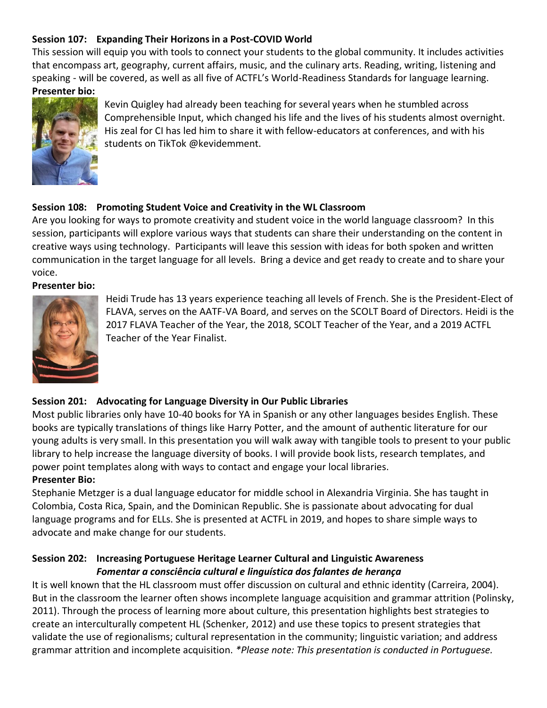# **Session 107: Expanding Their Horizons in a Post-COVID World**

This session will equip you with tools to connect your students to the global community. It includes activities that encompass art, geography, current affairs, music, and the culinary arts. Reading, writing, listening and speaking - will be covered, as well as all five of ACTFL's World-Readiness Standards for language learning. **Presenter bio:**

<span id="page-4-0"></span>

Kevin Quigley had already been teaching for several years when he stumbled across Comprehensible Input, which changed his life and the lives of his students almost overnight. His zeal for CI has led him to share it with fellow-educators at conferences, and with his students on TikTok @kevidemment.

# <span id="page-4-1"></span>**Session 108: Promoting Student Voice and Creativity in the WL Classroom**

Are you looking for ways to promote creativity and student voice in the world language classroom? In this session, participants will explore various ways that students can share their understanding on the content in creative ways using technology. Participants will leave this session with ideas for both spoken and written communication in the target language for all levels. Bring a device and get ready to create and to share your voice.

#### <span id="page-4-2"></span>**Presenter bio:**



Heidi Trude has 13 years experience teaching all levels of French. She is the President-Elect of FLAVA, serves on the AATF-VA Board, and serves on the SCOLT Board of Directors. Heidi is the 2017 FLAVA Teacher of the Year, the 2018, SCOLT Teacher of the Year, and a 2019 ACTFL Teacher of the Year Finalist.

# <span id="page-4-3"></span>**Session 201: Advocating for Language Diversity in Our Public Libraries**

Most public libraries only have 10-40 books for YA in Spanish or any other languages besides English. These books are typically translations of things like Harry Potter, and the amount of authentic literature for our young adults is very small. In this presentation you will walk away with tangible tools to present to your public library to help increase the language diversity of books. I will provide book lists, research templates, and power point templates along with ways to contact and engage your local libraries.

# <span id="page-4-4"></span>**Presenter Bio:**

Stephanie Metzger is a dual language educator for middle school in Alexandria Virginia. She has taught in Colombia, Costa Rica, Spain, and the Dominican Republic. She is passionate about advocating for dual language programs and for ELLs. She is presented at ACTFL in 2019, and hopes to share simple ways to advocate and make change for our students.

# <span id="page-4-6"></span><span id="page-4-5"></span>**Session 202: Increasing Portuguese Heritage Learner Cultural and Linguistic Awareness** *Fomentar a consciência cultural e linguística dos falantes de herança*

It is well known that the HL classroom must offer discussion on cultural and ethnic identity (Carreira, 2004). But in the classroom the learner often shows incomplete language acquisition and grammar attrition (Polinsky, 2011). Through the process of learning more about culture, this presentation highlights best strategies to create an interculturally competent HL (Schenker, 2012) and use these topics to present strategies that validate the use of regionalisms; cultural representation in the community; linguistic variation; and address grammar attrition and incomplete acquisition. *\*Please note: This presentation is conducted in Portuguese.*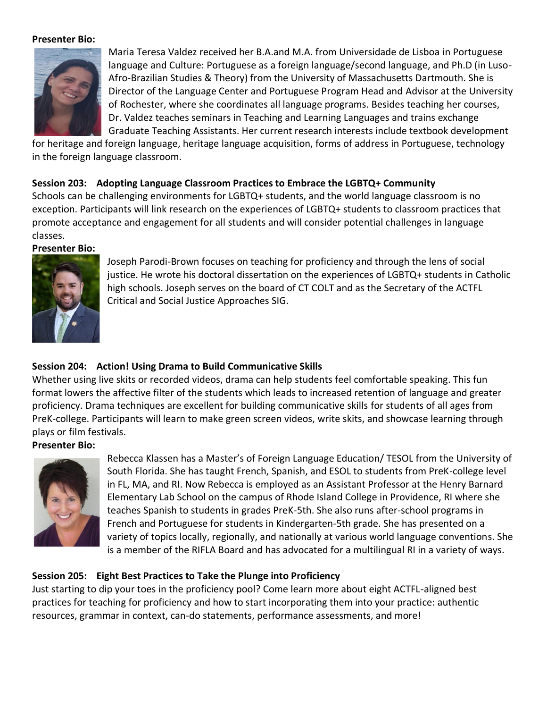#### **Presenter Bio:**



Maria Teresa Valdez received her B.A.and M.A. from Universidade de Lisboa in Portuguese language and Culture: Portuguese as a foreign language/second language, and Ph.D (in Luso-Afro-Brazilian Studies & Theory) from the University of Massachusetts Dartmouth. She is Director of the Language Center and Portuguese Program Head and Advisor at the University of Rochester, where she coordinates all language programs. Besides teaching her courses, Dr. Valdez teaches seminars in Teaching and Learning Languages and trains exchange Graduate Teaching Assistants. Her current research interests include textbook development

for heritage and foreign language, heritage language acquisition, forms of address in Portuguese, technology in the foreign language classroom.

#### <span id="page-5-0"></span>**Session 203: Adopting Language Classroom Practices to Embrace the LGBTQ+ Community**

Schools can be challenging environments for LGBTQ+ students, and the world language classroom is no exception. Participants will link research on the experiences of LGBTQ+ students to classroom practices that promote acceptance and engagement for all students and will consider potential challenges in language classes.

#### <span id="page-5-1"></span>**Presenter Bio:**



Joseph Parodi-Brown focuses on teaching for proficiency and through the lens of social justice. He wrote his doctoral dissertation on the experiences of LGBTQ+ students in Catholic high schools. Joseph serves on the board of CT COLT and as the Secretary of the ACTFL Critical and Social Justice Approaches SIG.

# <span id="page-5-2"></span>**Session 204: Action! Using Drama to Build Communicative Skills**

Whether using live skits or recorded videos, drama can help students feel comfortable speaking. This fun format lowers the affective filter of the students which leads to increased retention of language and greater proficiency. Drama techniques are excellent for building communicative skills for students of all ages from PreK-college. Participants will learn to make green screen videos, write skits, and showcase learning through plays or film festivals.

#### <span id="page-5-3"></span>**Presenter Bio:**



<span id="page-5-5"></span>Rebecca Klassen has a Master's of Foreign Language Education/ TESOL from the University of South Florida. She has taught French, Spanish, and ESOL to students from PreK-college level in FL, MA, and RI. Now Rebecca is employed as an Assistant Professor at the Henry Barnard Elementary Lab School on the campus of Rhode Island College in Providence, RI where she teaches Spanish to students in grades PreK-5th. She also runs after-school programs in French and Portuguese for students in Kindergarten-5th grade. She has presented on a variety of topics locally, regionally, and nationally at various world language conventions. She is a member of the RIFLA Board and has advocated for a multilingual RI in a variety of ways.

#### <span id="page-5-4"></span>**Session 205: Eight Best Practices to Take the Plunge into Proficiency**

Just starting to dip your toes in the proficiency pool? Come learn more about eight ACTFL-aligned best practices for teaching for proficiency and how to start incorporating them into your practice: authentic resources, grammar in context, can-do statements, performance assessments, and more!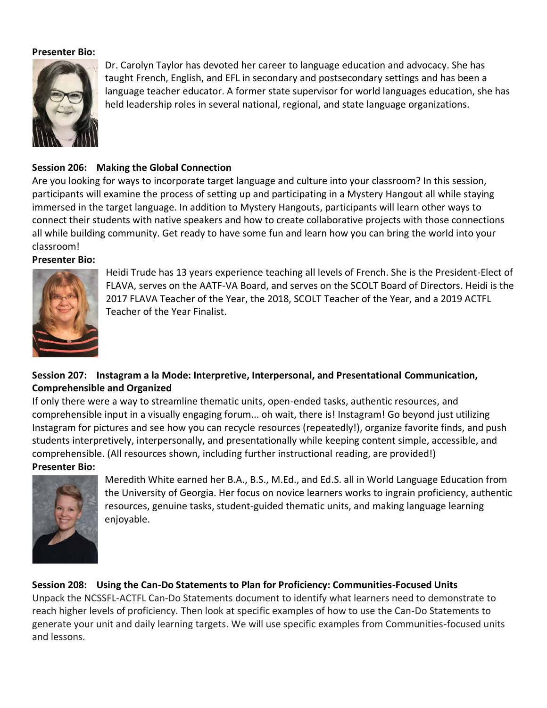#### **Presenter Bio:**



Dr. Carolyn Taylor has devoted her career to language education and advocacy. She has taught French, English, and EFL in secondary and postsecondary settings and has been a language teacher educator. A former state supervisor for world languages education, she has held leadership roles in several national, regional, and state language organizations.

# <span id="page-6-0"></span>**Session 206: Making the Global Connection**

Are you looking for ways to incorporate target language and culture into your classroom? In this session, participants will examine the process of setting up and participating in a Mystery Hangout all while staying immersed in the target language. In addition to Mystery Hangouts, participants will learn other ways to connect their students with native speakers and how to create collaborative projects with those connections all while building community. Get ready to have some fun and learn how you can bring the world into your classroom!

#### <span id="page-6-1"></span>**Presenter Bio:**



Heidi Trude has 13 years experience teaching all levels of French. She is the President-Elect of FLAVA, serves on the AATF-VA Board, and serves on the SCOLT Board of Directors. Heidi is the 2017 FLAVA Teacher of the Year, the 2018, SCOLT Teacher of the Year, and a 2019 ACTFL Teacher of the Year Finalist.

# <span id="page-6-2"></span>**Session 207: Instagram a la Mode: Interpretive, Interpersonal, and Presentational Communication, Comprehensible and Organized**

If only there were a way to streamline thematic units, open-ended tasks, authentic resources, and comprehensible input in a visually engaging forum... oh wait, there is! Instagram! Go beyond just utilizing Instagram for pictures and see how you can recycle resources (repeatedly!), organize favorite finds, and push students interpretively, interpersonally, and presentationally while keeping content simple, accessible, and comprehensible. (All resources shown, including further instructional reading, are provided!)

# <span id="page-6-3"></span>**Presenter Bio:**



Meredith White earned her B.A., B.S., M.Ed., and Ed.S. all in World Language Education from the University of Georgia. Her focus on novice learners works to ingrain proficiency, authentic resources, genuine tasks, student-guided thematic units, and making language learning enjoyable.

# <span id="page-6-4"></span>**Session 208: Using the Can-Do Statements to Plan for Proficiency: Communities-Focused Units**

Unpack the NCSSFL-ACTFL Can-Do Statements document to identify what learners need to demonstrate to reach higher levels of proficiency. Then look at specific examples of how to use the Can-Do Statements to generate your unit and daily learning targets. We will use specific examples from Communities-focused units and lessons.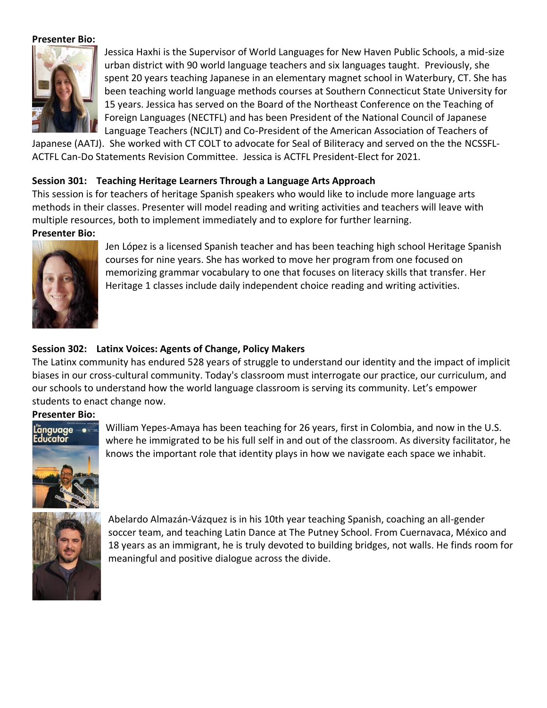#### **Presenter Bio:**

<span id="page-7-0"></span>

<span id="page-7-1"></span>Jessica Haxhi is the Supervisor of World Languages for New Haven Public Schools, a mid-size urban district with 90 world language teachers and six languages taught. Previously, she spent 20 years teaching Japanese in an elementary magnet school in Waterbury, CT. She has been teaching world language methods courses at Southern Connecticut State University for 15 years. Jessica has served on the Board of the Northeast Conference on the Teaching of Foreign Languages (NECTFL) and has been President of the National Council of Japanese Language Teachers (NCJLT) and Co-President of the American Association of Teachers of

Japanese (AATJ). She worked with CT COLT to advocate for Seal of Biliteracy and served on the the NCSSFL-ACTFL Can-Do Statements Revision Committee. Jessica is ACTFL President-Elect for 2021.

#### **Session 301: Teaching Heritage Learners Through a Language Arts Approach**

This session is for teachers of heritage Spanish speakers who would like to include more language arts methods in their classes. Presenter will model reading and writing activities and teachers will leave with multiple resources, both to implement immediately and to explore for further learning.

#### <span id="page-7-2"></span>**Presenter Bio:**



Jen López is a licensed Spanish teacher and has been teaching high school Heritage Spanish courses for nine years. She has worked to move her program from one focused on memorizing grammar vocabulary to one that focuses on literacy skills that transfer. Her Heritage 1 classes include daily independent choice reading and writing activities.

#### <span id="page-7-3"></span>**Session 302: Latinx Voices: Agents of Change, Policy Makers**

The Latinx community has endured 528 years of struggle to understand our identity and the impact of implicit biases in our cross-cultural community. Today's classroom must interrogate our practice, our curriculum, and our schools to understand how the world language classroom is serving its community. Let's empower students to enact change now.

#### <span id="page-7-4"></span>**Presenter Bio:**



William Yepes-Amaya has been teaching for 26 years, first in Colombia, and now in the U.S. where he immigrated to be his full self in and out of the classroom. As diversity facilitator, he knows the important role that identity plays in how we navigate each space we inhabit.



Abelardo Almazán-Vázquez is in his 10th year teaching Spanish, coaching an all-gender soccer team, and teaching Latin Dance at The Putney School. From Cuernavaca, México and 18 years as an immigrant, he is truly devoted to building bridges, not walls. He finds room for meaningful and positive dialogue across the divide.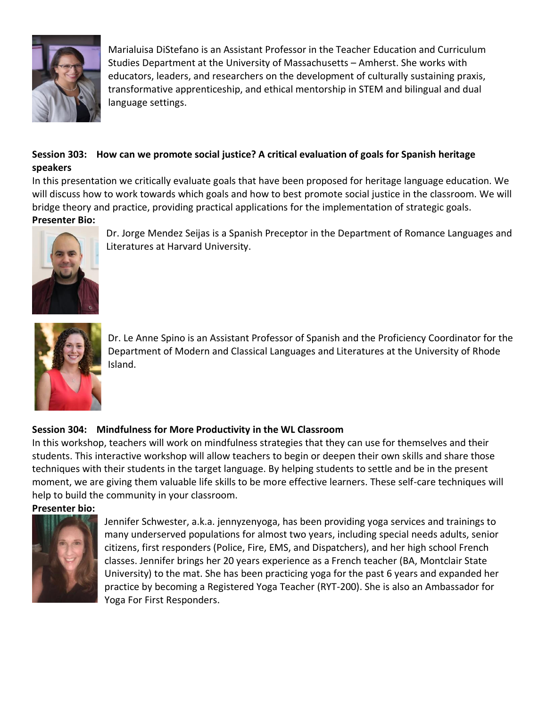

<span id="page-8-0"></span>Marialuisa DiStefano is an Assistant Professor in the Teacher Education and Curriculum Studies Department at the University of Massachusetts – Amherst. She works with educators, leaders, and researchers on the development of culturally sustaining praxis, transformative apprenticeship, and ethical mentorship in STEM and bilingual and dual language settings.

# **Session 303: How can we promote social justice? A critical evaluation of goals for Spanish heritage speakers**

In this presentation we critically evaluate goals that have been proposed for heritage language education. We will discuss how to work towards which goals and how to best promote social justice in the classroom. We will bridge theory and practice, providing practical applications for the implementation of strategic goals. **Presenter Bio:**



<span id="page-8-1"></span>Dr. Jorge Mendez Seijas is a Spanish Preceptor in the Department of Romance Languages and Literatures at Harvard University.



Dr. Le Anne Spino is an Assistant Professor of Spanish and the Proficiency Coordinator for the Department of Modern and Classical Languages and Literatures at the University of Rhode Island.

# <span id="page-8-4"></span>**Session 304: Mindfulness for More Productivity in the WL Classroom**

In this workshop, teachers will work on mindfulness strategies that they can use for themselves and their students. This interactive workshop will allow teachers to begin or deepen their own skills and share those techniques with their students in the target language. By helping students to settle and be in the present moment, we are giving them valuable life skills to be more effective learners. These self-care techniques will help to build the community in your classroom.

**Presenter bio:**

<span id="page-8-3"></span>

<span id="page-8-2"></span>Jennifer Schwester, a.k.a. jennyzenyoga, has been providing yoga services and trainings to many underserved populations for almost two years, including special needs adults, senior citizens, first responders (Police, Fire, EMS, and Dispatchers), and her high school French classes. Jennifer brings her 20 years experience as a French teacher (BA, Montclair State University) to the mat. She has been practicing yoga for the past 6 years and expanded her practice by becoming a Registered Yoga Teacher (RYT-200). She is also an Ambassador for Yoga For First Responders.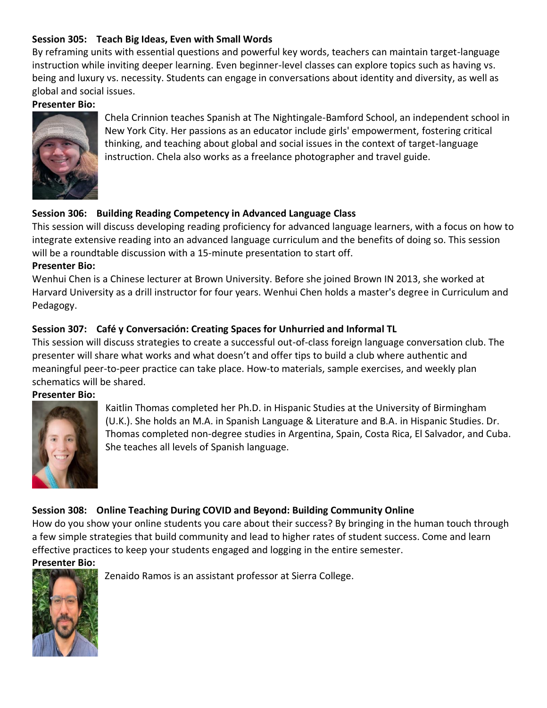# **Session 305: Teach Big Ideas, Even with Small Words**

By reframing units with essential questions and powerful key words, teachers can maintain target-language instruction while inviting deeper learning. Even beginner-level classes can explore topics such as having vs. being and luxury vs. necessity. Students can engage in conversations about identity and diversity, as well as global and social issues.

#### **Presenter Bio:**



<span id="page-9-1"></span><span id="page-9-0"></span>Chela Crinnion teaches Spanish at The Nightingale-Bamford School, an independent school in New York City. Her passions as an educator include girls' empowerment, fostering critical thinking, and teaching about global and social issues in the context of target-language instruction. Chela also works as a freelance photographer and travel guide.

# **Session 306: Building Reading Competency in Advanced Language Class**

This session will discuss developing reading proficiency for advanced language learners, with a focus on how to integrate extensive reading into an advanced language curriculum and the benefits of doing so. This session will be a roundtable discussion with a 15-minute presentation to start off.

#### **Presenter Bio:**

<span id="page-9-2"></span>Wenhui Chen is a Chinese lecturer at Brown University. Before she joined Brown IN 2013, she worked at Harvard University as a drill instructor for four years. Wenhui Chen holds a master's degree in Curriculum and Pedagogy.

# **Session 307: Café y Conversación: Creating Spaces for Unhurried and Informal TL**

This session will discuss strategies to create a successful out-of-class foreign language conversation club. The presenter will share what works and what doesn't and offer tips to build a club where authentic and meaningful peer-to-peer practice can take place. How-to materials, sample exercises, and weekly plan schematics will be shared.

#### <span id="page-9-3"></span>**Presenter Bio:**



<span id="page-9-4"></span>Kaitlin Thomas completed her Ph.D. in Hispanic Studies at the University of Birmingham (U.K.). She holds an M.A. in Spanish Language & Literature and B.A. in Hispanic Studies. Dr. Thomas completed non-degree studies in Argentina, Spain, Costa Rica, El Salvador, and Cuba. She teaches all levels of Spanish language.

# **Session 308: Online Teaching During COVID and Beyond: Building Community Online**

How do you show your online students you care about their success? By bringing in the human touch through a few simple strategies that build community and lead to higher rates of student success. Come and learn effective practices to keep your students engaged and logging in the entire semester.

#### <span id="page-9-5"></span>**Presenter Bio:**



Zenaido Ramos is an assistant professor at Sierra College.